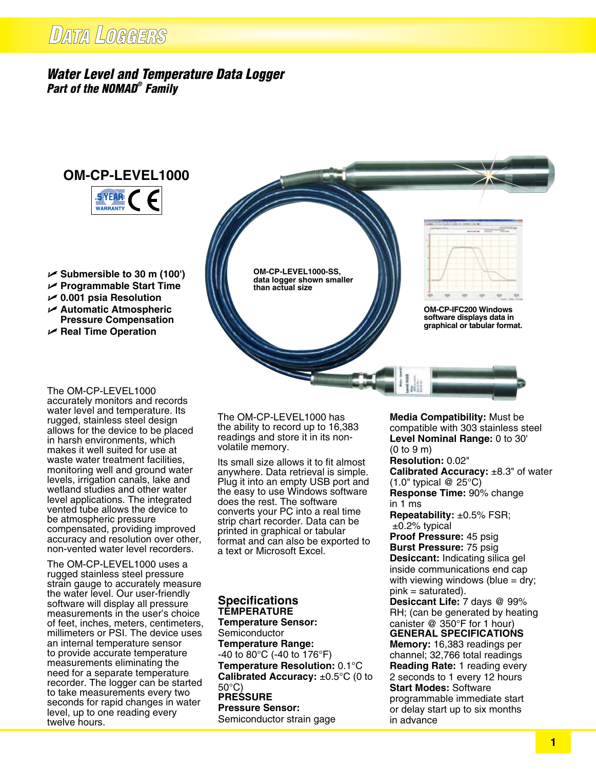## *Water Level and Temperature Data Logger Part of the NOMAD® Family*



- U **Submersible to 30 m (100')**
- U **Programmable Start Time**
- U **0.001 psia Resolution**
- U **Automatic Atmospheric Pressure Compensation**
- U **Real Time Operation**

**than actual size**



**OM-CP-IFC200 Windows software displays data in graphical or tabular format.**

The OM-CP-LEVEL1000 accurately monitors and records water level and temperature. Its rugged, stainless steel design allows for the device to be placed in harsh environments, which makes it well suited for use at waste water treatment facilities, monitoring well and ground water levels, irrigation canals, lake and wetland studies and other water level applications. The integrated vented tube allows the device to be atmospheric pressure compensated, providing improved accuracy and resolution over other, non-vented water level recorders.

The OM-CP-LEVEL1000 uses a rugged stainless steel pressure strain gauge to accurately measure the water level. Our user-friendly software will display all pressure measurements in the user's choice of feet, inches, meters, centimeters, millimeters or PSI. The device uses an internal temperature sensor to provide accurate temperature measurements eliminating the need for a separate temperature recorder. The logger can be started to take measurements every two seconds for rapid changes in water level, up to one reading every twelve hours.

The OM-CP-LEVEL1000 has the ability to record up to 16,383 readings and store it in its nonvolatile memory.

**OM-CP-LEVEL1000-SS, data logger shown smaller** 

Its small size allows it to fit almost anywhere. Data retrieval is simple. Plug it into an empty USB port and the easy to use Windows software does the rest. The software converts your PC into a real time strip chart recorder. Data can be printed in graphical or tabular format and can also be exported to a text or Microsoft Excel.

## **Specifications Temperature Temperature Sensor:**

Semiconductor **Temperature Range:** -40 to 80°C (-40 to 176°F) **Temperature Resolution:** 0.1°C **Calibrated Accuracy:** ±0.5°C (0 to 50°C) **PRESSURE Pressure Sensor:** Semiconductor strain gage

**Media Compatibility:** Must be compatible with 303 stainless steel **Level Nominal Range:** 0 to 30' (0 to 9 m) **Resolution:** 0.02" **Calibrated Accuracy:** ±8.3" of water (1.0" typical @ 25°C) **Response Time:** 90% change in 1 ms **Repeatability:** ±0.5% FSR; ±0.2% typical **Proof Pressure:** 45 psig **Burst Pressure:** 75 psig **Desiccant:** Indicating silica gel inside communications end cap with viewing windows (blue  $=$  dry;  $pink = saturated).$ **Desiccant Life:** 7 days @ 99% RH; (can be generated by heating canister @ 350°F for 1 hour) **General Specifications Memory:** 16,383 readings per channel; 32,766 total readings **Reading Rate:** 1 reading every 2 seconds to 1 every 12 hours **Start Modes:** Software programmable immediate start or delay start up to six months in advance